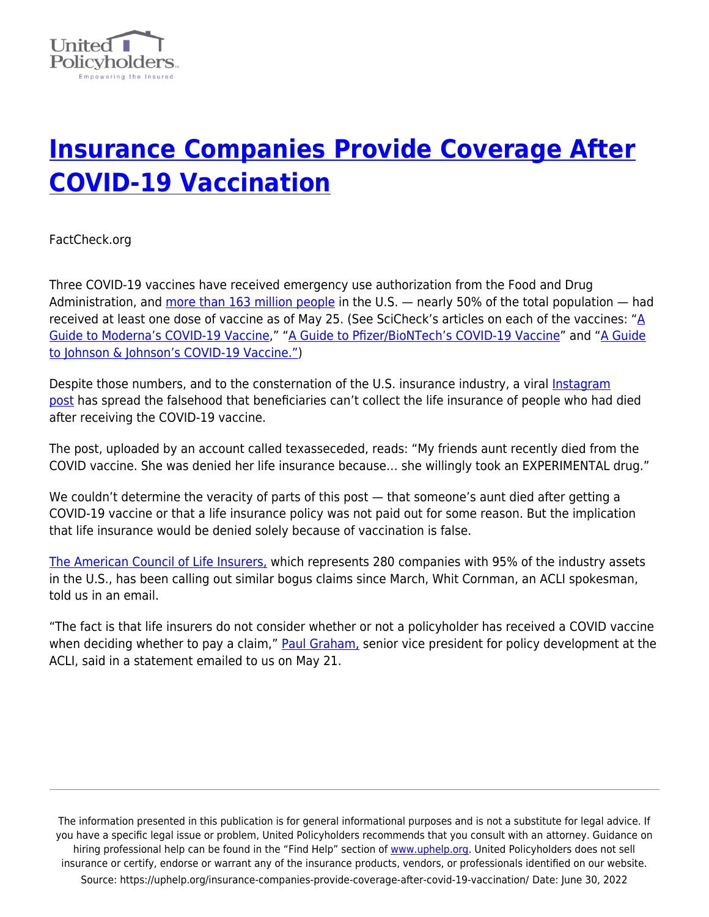

## **[Insurance Companies Provide Coverage After](https://uphelp.org/insurance-companies-provide-coverage-after-covid-19-vaccination/) [COVID-19 Vaccination](https://uphelp.org/insurance-companies-provide-coverage-after-covid-19-vaccination/)**

FactCheck.org

Three COVID-19 vaccines have received emergency use authorization from the Food and Drug Administration, and [more than 163 million people](https://covid.cdc.gov/covid-data-tracker/#vaccinations) in the U.S. — nearly 50% of the total population — had received at least one dose of vaccine as of May 25. (See SciCheck's articles on each of the vaccines: " $\underline{A}$ [Guide to Moderna's COVID-19 Vaccine,](https://www.factcheck.org/2020/12/a-guide-to-modernas-covid-19-vaccine/)" ["A Guide to Pfizer/BioNTech's COVID-19 Vaccine"](https://www.factcheck.org/2020/12/a-guide-to-pfizer-biontechs-covid-19-vaccine/) and "[A Guide](https://www.factcheck.org/2021/02/scicheck-a-guide-to-johnson-johnsons-covid-19-vaccine/) [to Johnson & Johnson's COVID-19 Vaccine."](https://www.factcheck.org/2021/02/scicheck-a-guide-to-johnson-johnsons-covid-19-vaccine/))

Despite those numbers, and to the consternation of the U.S. insurance industry, a viral [Instagram](https://www.instagram.com/p/CPELOUkAjgG/?utm_source=ig_embed&ig_rid=2f4e4102-22d3-4f96-9db8-2481ce656505) [post](https://www.instagram.com/p/CPELOUkAjgG/?utm_source=ig_embed&ig_rid=2f4e4102-22d3-4f96-9db8-2481ce656505) has spread the falsehood that beneficiaries can't collect the life insurance of people who had died after receiving the COVID-19 vaccine.

The post, uploaded by an account called texasseceded, reads: "My friends aunt recently died from the COVID vaccine. She was denied her life insurance because… she willingly took an EXPERIMENTAL drug."

We couldn't determine the veracity of parts of this post  $-$  that someone's aunt died after getting a COVID-19 vaccine or that a life insurance policy was not paid out for some reason. But the implication that life insurance would be denied solely because of vaccination is false.

[The American Council of Life Insurers,](https://www.acli.com/) which represents 280 companies with 95% of the industry assets in the U.S., has been calling out similar bogus claims since March, Whit Cornman, an ACLI spokesman, told us in an email.

"The fact is that life insurers do not consider whether or not a policyholder has received a COVID vaccine when deciding whether to pay a claim," **Paul Graham**, senior vice president for policy development at the ACLI, said in a statement emailed to us on May 21.

The information presented in this publication is for general informational purposes and is not a substitute for legal advice. If you have a specific legal issue or problem, United Policyholders recommends that you consult with an attorney. Guidance on hiring professional help can be found in the "Find Help" section of [www.uphelp.org.](http://www.uphelp.org/) United Policyholders does not sell insurance or certify, endorse or warrant any of the insurance products, vendors, or professionals identified on our website. Source: https://uphelp.org/insurance-companies-provide-coverage-after-covid-19-vaccination/ Date: June 30, 2022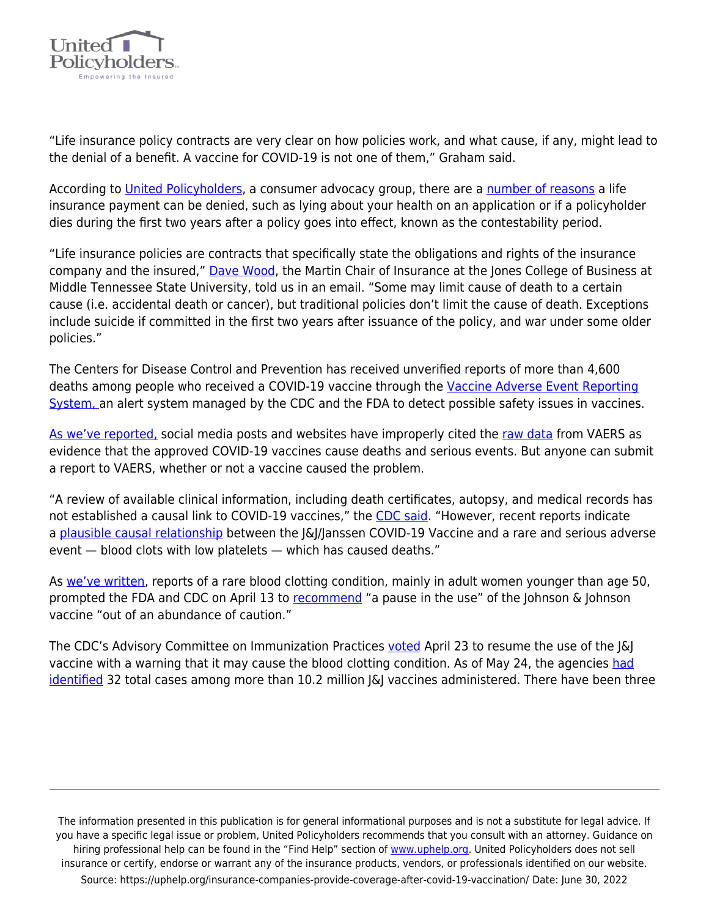

"Life insurance policy contracts are very clear on how policies work, and what cause, if any, might lead to the denial of a benefit. A vaccine for COVID-19 is not one of them," Graham said.

According to [United Policyholders](https://uphelp.org/about/), a consumer advocacy group, there are a [number of reasons](https://uphelp.org/4-most-common-reasons-why-insurers-deny-life-insurance-claims/) a life insurance payment can be denied, such as lying about your health on an application or if a policyholder dies during the first two years after a policy goes into effect, known as the contestability period.

"Life insurance policies are contracts that specifically state the obligations and rights of the insurance company and the insured," [Dave Wood,](https://www.mtsu.edu/martinchair/) the Martin Chair of Insurance at the Jones College of Business at Middle Tennessee State University, told us in an email. "Some may limit cause of death to a certain cause (i.e. accidental death or cancer), but traditional policies don't limit the cause of death. Exceptions include suicide if committed in the first two years after issuance of the policy, and war under some older policies."

The Centers for Disease Control and Prevention has received unverified reports of more than 4,600 deaths among people who received a COVID-19 vaccine through the [Vaccine Adverse Event Reporting](https://www.cdc.gov/coronavirus/2019-ncov/vaccines/safety/adverse-events.html) [System, a](https://www.cdc.gov/coronavirus/2019-ncov/vaccines/safety/adverse-events.html)n alert system managed by the CDC and the FDA to detect possible safety issues in vaccines.

[As we've reported,](https://www.factcheck.org/2021/03/scicheck-viral-posts-misuse-vaers-data-to-make-false-claims-about-covid-19-vaccines/) social media posts and websites have improperly cited the [raw data](https://www.openvaers.com/covid-data) from VAERS as evidence that the approved COVID-19 vaccines cause deaths and serious events. But anyone can submit a report to VAERS, whether or not a vaccine caused the problem.

"A review of available clinical information, including death certificates, autopsy, and medical records has not established a causal link to COVID-19 vaccines," the [CDC said.](https://www.cdc.gov/coronavirus/2019-ncov/vaccines/safety/adverse-events.html) "However, recent reports indicate a [plausible causal relationship](https://www.cdc.gov/coronavirus/2019-ncov/vaccines/safety/JJUpdate.html) between the J&J/Janssen COVID-19 Vaccine and a rare and serious adverse event — blood clots with low platelets — which has caused deaths."

As [we've written](https://www.factcheck.org/2021/04/scicheck-qa-on-the-rare-clotting-events-that-caused-the-jj-pause/), reports of a rare blood clotting condition, mainly in adult women younger than age 50, prompted the FDA and CDC on April 13 to [recommend](https://www.fda.gov/news-events/press-announcements/joint-cdc-and-fda-statement-johnson-johnson-covid-19-vaccine) "a pause in the use" of the Johnson & Johnson vaccine "out of an abundance of caution."

The CDC's Advisory Committee on Immunization Practices [voted](https://twitter.com/ashishkjha/status/1385700911624900608?s=20) April 23 to resume the use of the [&] vaccine with a warning that it may cause the blood clotting condition. As of May 24, the agencies [had](https://www.cdc.gov/coronavirus/2019-ncov/vaccines/safety/adverse-events.html) [identified](https://www.cdc.gov/coronavirus/2019-ncov/vaccines/safety/adverse-events.html) 32 total cases among more than 10.2 million  $|\&$  vaccines administered. There have been three

The information presented in this publication is for general informational purposes and is not a substitute for legal advice. If you have a specific legal issue or problem, United Policyholders recommends that you consult with an attorney. Guidance on hiring professional help can be found in the "Find Help" section of [www.uphelp.org.](http://www.uphelp.org/) United Policyholders does not sell insurance or certify, endorse or warrant any of the insurance products, vendors, or professionals identified on our website. Source: https://uphelp.org/insurance-companies-provide-coverage-after-covid-19-vaccination/ Date: June 30, 2022